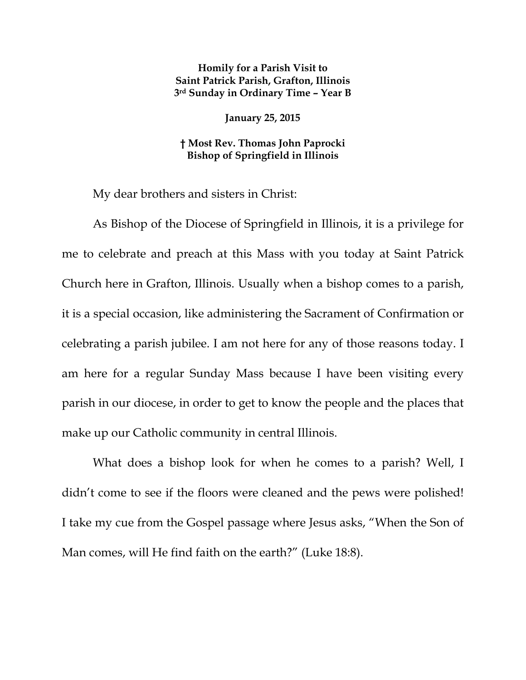## **Homily for a Parish Visit to Saint Patrick Parish, Grafton, Illinois 3rd Sunday in Ordinary Time – Year B**

**January 25, 2015** 

## **† Most Rev. Thomas John Paprocki Bishop of Springfield in Illinois**

My dear brothers and sisters in Christ:

As Bishop of the Diocese of Springfield in Illinois, it is a privilege for me to celebrate and preach at this Mass with you today at Saint Patrick Church here in Grafton, Illinois. Usually when a bishop comes to a parish, it is a special occasion, like administering the Sacrament of Confirmation or celebrating a parish jubilee. I am not here for any of those reasons today. I am here for a regular Sunday Mass because I have been visiting every parish in our diocese, in order to get to know the people and the places that make up our Catholic community in central Illinois.

What does a bishop look for when he comes to a parish? Well, I didn't come to see if the floors were cleaned and the pews were polished! I take my cue from the Gospel passage where Jesus asks, "When the Son of Man comes, will He find faith on the earth?" (Luke 18:8).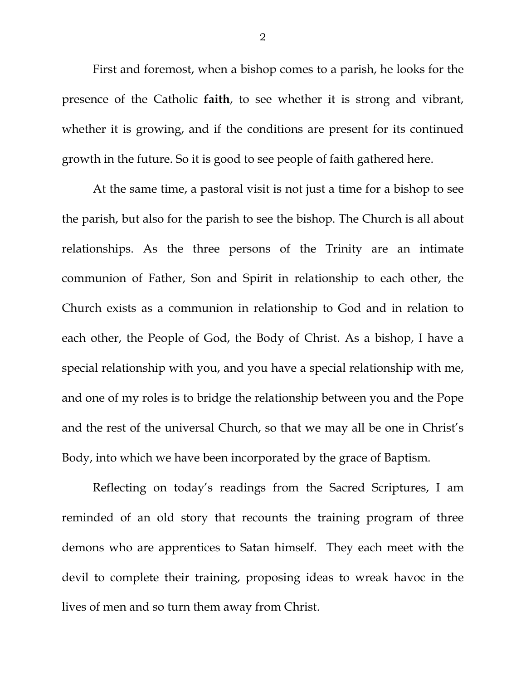First and foremost, when a bishop comes to a parish, he looks for the presence of the Catholic **faith**, to see whether it is strong and vibrant, whether it is growing, and if the conditions are present for its continued growth in the future. So it is good to see people of faith gathered here.

At the same time, a pastoral visit is not just a time for a bishop to see the parish, but also for the parish to see the bishop. The Church is all about relationships. As the three persons of the Trinity are an intimate communion of Father, Son and Spirit in relationship to each other, the Church exists as a communion in relationship to God and in relation to each other, the People of God, the Body of Christ. As a bishop, I have a special relationship with you, and you have a special relationship with me, and one of my roles is to bridge the relationship between you and the Pope and the rest of the universal Church, so that we may all be one in Christ's Body, into which we have been incorporated by the grace of Baptism.

Reflecting on today's readings from the Sacred Scriptures, I am reminded of an old story that recounts the training program of three demons who are apprentices to Satan himself. They each meet with the devil to complete their training, proposing ideas to wreak havoc in the lives of men and so turn them away from Christ.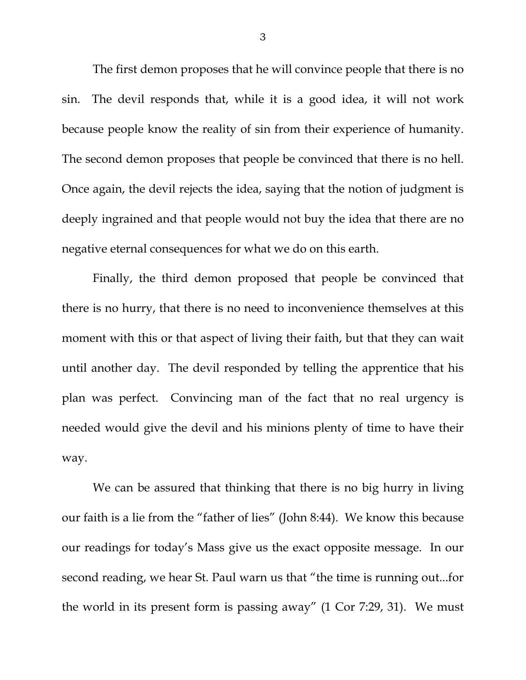The first demon proposes that he will convince people that there is no sin. The devil responds that, while it is a good idea, it will not work because people know the reality of sin from their experience of humanity. The second demon proposes that people be convinced that there is no hell. Once again, the devil rejects the idea, saying that the notion of judgment is deeply ingrained and that people would not buy the idea that there are no negative eternal consequences for what we do on this earth.

Finally, the third demon proposed that people be convinced that there is no hurry, that there is no need to inconvenience themselves at this moment with this or that aspect of living their faith, but that they can wait until another day. The devil responded by telling the apprentice that his plan was perfect. Convincing man of the fact that no real urgency is needed would give the devil and his minions plenty of time to have their way.

We can be assured that thinking that there is no big hurry in living our faith is a lie from the "father of lies" (John 8:44). We know this because our readings for today's Mass give us the exact opposite message. In our second reading, we hear St. Paul warn us that "the time is running out...for the world in its present form is passing away" (1 Cor 7:29, 31). We must

3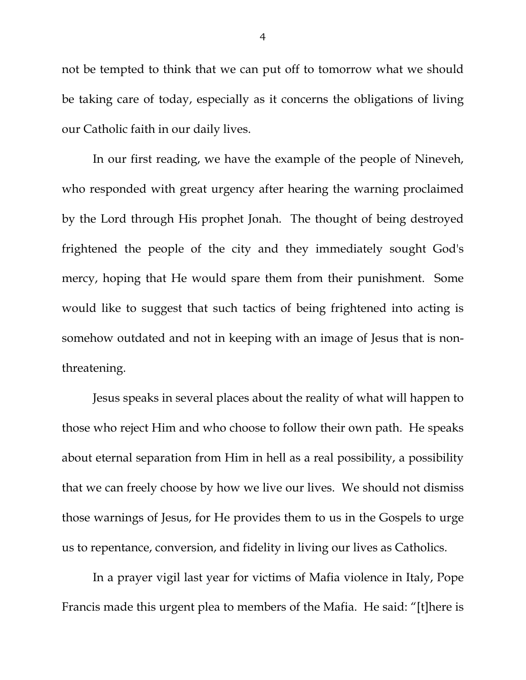not be tempted to think that we can put off to tomorrow what we should be taking care of today, especially as it concerns the obligations of living our Catholic faith in our daily lives.

In our first reading, we have the example of the people of Nineveh, who responded with great urgency after hearing the warning proclaimed by the Lord through His prophet Jonah. The thought of being destroyed frightened the people of the city and they immediately sought God's mercy, hoping that He would spare them from their punishment. Some would like to suggest that such tactics of being frightened into acting is somehow outdated and not in keeping with an image of Jesus that is nonthreatening.

Jesus speaks in several places about the reality of what will happen to those who reject Him and who choose to follow their own path. He speaks about eternal separation from Him in hell as a real possibility, a possibility that we can freely choose by how we live our lives. We should not dismiss those warnings of Jesus, for He provides them to us in the Gospels to urge us to repentance, conversion, and fidelity in living our lives as Catholics.

In a prayer vigil last year for victims of Mafia violence in Italy, Pope Francis made this urgent plea to members of the Mafia. He said: "[t]here is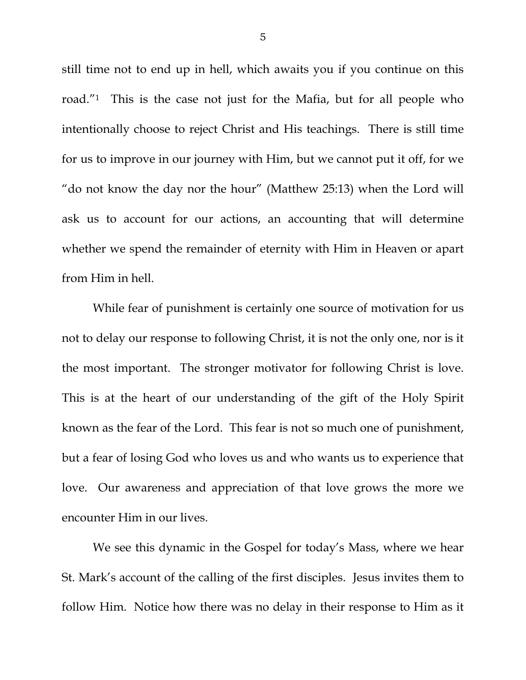still time not to end up in hell, which awaits you if you continue on this road."1 This is the case not just for the Mafia, but for all people who intentionally choose to reject Christ and His teachings. There is still time for us to improve in our journey with Him, but we cannot put it off, for we "do not know the day nor the hour" (Matthew 25:13) when the Lord will ask us to account for our actions, an accounting that will determine whether we spend the remainder of eternity with Him in Heaven or apart from Him in hell.

While fear of punishment is certainly one source of motivation for us not to delay our response to following Christ, it is not the only one, nor is it the most important. The stronger motivator for following Christ is love. This is at the heart of our understanding of the gift of the Holy Spirit known as the fear of the Lord. This fear is not so much one of punishment, but a fear of losing God who loves us and who wants us to experience that love. Our awareness and appreciation of that love grows the more we encounter Him in our lives.

We see this dynamic in the Gospel for today's Mass, where we hear St. Mark's account of the calling of the first disciples. Jesus invites them to follow Him. Notice how there was no delay in their response to Him as it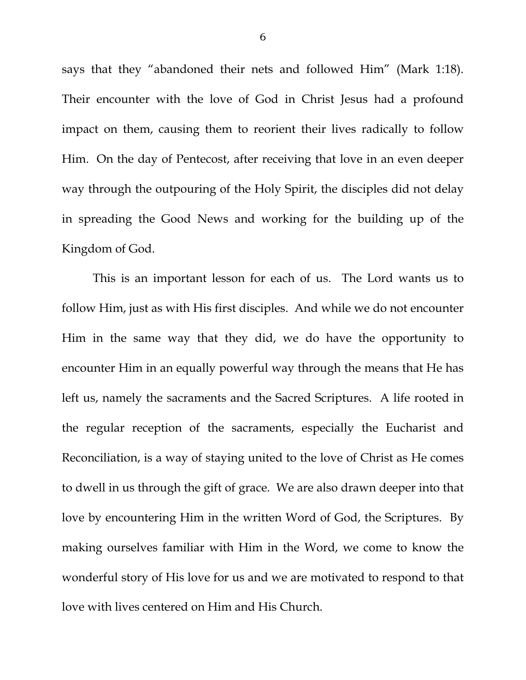says that they "abandoned their nets and followed Him" (Mark 1:18). Their encounter with the love of God in Christ Jesus had a profound impact on them, causing them to reorient their lives radically to follow Him. On the day of Pentecost, after receiving that love in an even deeper way through the outpouring of the Holy Spirit, the disciples did not delay in spreading the Good News and working for the building up of the Kingdom of God.

This is an important lesson for each of us. The Lord wants us to follow Him, just as with His first disciples. And while we do not encounter Him in the same way that they did, we do have the opportunity to encounter Him in an equally powerful way through the means that He has left us, namely the sacraments and the Sacred Scriptures. A life rooted in the regular reception of the sacraments, especially the Eucharist and Reconciliation, is a way of staying united to the love of Christ as He comes to dwell in us through the gift of grace. We are also drawn deeper into that love by encountering Him in the written Word of God, the Scriptures. By making ourselves familiar with Him in the Word, we come to know the wonderful story of His love for us and we are motivated to respond to that love with lives centered on Him and His Church.